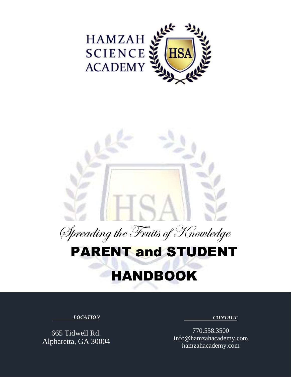



# PARENT and STUDENT

# HANDBOOK

#### *LOCATION*

665 Tidwell Rd. Alpharetta, GA 30004  *CONTACT*

770.558.3500 info@hamzahacademy.com hamzahacademy.com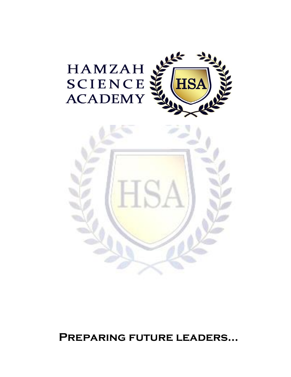





**Preparing future leaders…**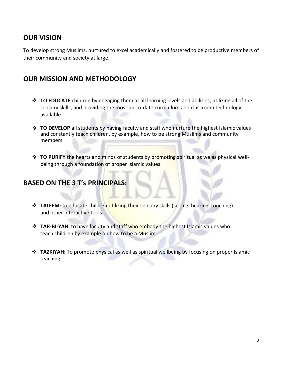# **OUR VISION**

To develop strong Muslims, nurtured to excel academically and fostered to be productive members of their community and society at large.

# **OUR MISSION AND METHODOLOGY**

- ❖ **TO EDUCATE** children by engaging them at all learning levels and abilities, utilizing all of their sensory skills, and providing the most up-to-date curriculum and classroom technology available.
- ❖ **TO DEVELOP** all students by having faculty and staff who nurture the highest Islamic values and constantly teach children, by example, how to be strong Muslims and community members
- ❖ **TO PURIFY** the hearts and minds of students by promoting spiritual as we as physical wellbeing through a foundation of proper Islamic values.

# **BASED ON THE 3 T's PRINCIPALS:**

- ❖ **TALEEM:** to educate children utilizing their sensory skills (seeing, hearing, touching) and other interactive tools.
- ❖ **TAR-BI-YAH:** to have faculty and staff who embody the highest Islamic values who teach children by example on how to be a Muslim.
- ❖ **TAZKIYAH:** To promote physical as well as spiritual wellbeing by focusing on proper Islamic teaching.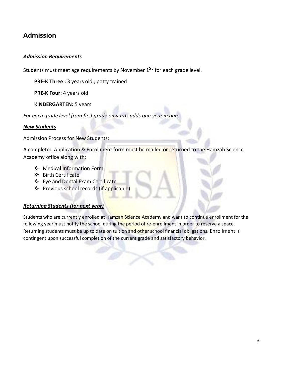# **Admission**

#### *Admission Requirements*

Students must meet age requirements by November 1<sup>st</sup> for each grade level.

**PRE-K Three :** 3 years old ; potty trained

**PRE-K Four: 4 years old** 

**KINDERGARTEN:** 5 years

*For each grade level from first grade onwards adds one year in age.*

#### *New Students*

Admission Process for New Students:

A completed Application & Enrollment form must be mailed or returned to the Hamzah Science Academy office along with:

- ❖ Medical Information Form
- ❖ Birth Certificate
- ❖ Eye and Dental Exam Certificate
- ❖ Previous school records (if applicable)

#### *Returning Students (for next year)*

Students who are currently enrolled at Hamzah Science Academy and want to continue enrollment for the following year must notify the school during the period of re-enrollment in order to reserve a space. Returning students must be up to date on tuition and other school financial obligations. Enrollment is contingent upon successful completion of the current grade and satisfactory behavior.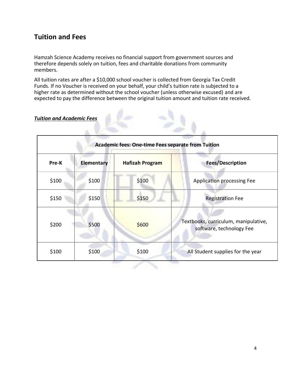# **Tuition and Fees**

Hamzah Science Academy receives no financial support from government sources and therefore depends solely on tuition, fees and charitable donations from community members.

All tuition rates are after a \$10,000 school voucher is collected from Georgia Tax Credit Funds. If no Voucher is received on your behalf, your child's tuition rate is subjected to a higher rate as determined without the school voucher (unless otherwise excused) and are expected to pay the difference between the original tuition amount and tuition rate received.

#### *Tuition and Academic Fees*

| Academic fees: One-time Fees separate from Tuition |                   |                        |                                                                  |  |
|----------------------------------------------------|-------------------|------------------------|------------------------------------------------------------------|--|
| Pre-K                                              | <b>Elementary</b> | <b>Hafizah Program</b> | <b>Fees/Description</b>                                          |  |
| \$100                                              | \$100             | \$100                  | Application processing Fee                                       |  |
| \$150                                              | \$150             | \$150                  | <b>Registration Fee</b>                                          |  |
| \$200                                              | \$500             | \$600                  | Textbooks, curriculum, manipulative,<br>software, technology Fee |  |
| \$100                                              | \$100             | \$100                  | All Student supplies for the year                                |  |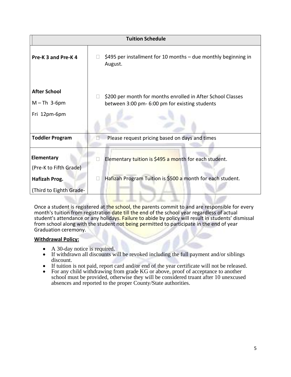| <b>Tuition Schedule</b>                               |                                                                                                                     |  |  |  |
|-------------------------------------------------------|---------------------------------------------------------------------------------------------------------------------|--|--|--|
| Pre-K 3 and Pre-K 4                                   | \$495 per installment for 10 months $-$ due monthly beginning in<br>August.                                         |  |  |  |
| <b>After School</b><br>$M-Th$ 3-6pm<br>Fri 12pm-6pm   | \$200 per month for months enrolled in After School Classes<br>between 3:00 pm- 6:00 pm for existing students       |  |  |  |
| <b>Toddler Program</b>                                | Please request pricing based on days and times                                                                      |  |  |  |
| Elementary<br>(Pre-K to Fifth Grade)<br>Hafizah Prog. | Elementary tuition is \$495 a month for each student.<br>Hafizah Program Tuition is \$500 a month for each student. |  |  |  |
| (Third to Eighth Grade-                               |                                                                                                                     |  |  |  |

Once a student is registered at the school, the parents commit to and are responsible for every month's tuition from registration date till the end of the school year regardless of actual student's attendance or any holidays. Failure to abide by policy will result in students' dismissal from school along with the student not being permitted to participate in the end of year Graduation ceremony.

#### **Withdrawal Policy:**

- A 30-day notice is required.
- If withdrawn all discounts will be revoked including the full payment and/or siblings discount.
- If tuition is not paid, report card and/or end of the year certificate will not be released.
- For any child withdrawing from grade KG or above, proof of acceptance to another school must be provided, otherwise they will be considered truant after 10 unexcused absences and reported to the proper County/State authorities.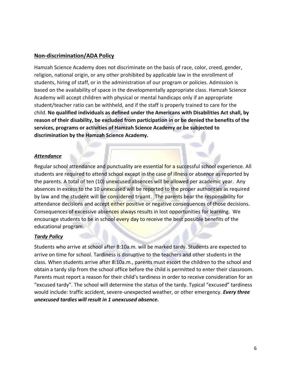#### **Non-discrimination/ADA Policy**

Hamzah Science Academy does not discriminate on the basis of race, color, creed, gender, religion, national origin, or any other prohibited by applicable law in the enrollment of students, hiring of staff, or in the administration of our program or policies. Admission is based on the availability of space in the developmentally appropriate class. Hamzah Science Academy will accept children with physical or mental handicaps only if an appropriate student/teacher ratio can be withheld, and if the staff is properly trained to care for the child. **No qualified individuals as defined under the Americans with Disabilities Act shall, by reason of their disability, be excluded from participation in or be denied the benefits of the services, programs or activities of Hamzah Science Academy or be subjected to discrimination by the Hamzah Science Academy.**

#### *Attendance*

Regular school attendance and punctuality are essential for a successful school experience. All students are required to attend school except in the case of illness or absence as reported by the parents. A total of ten (10) unexcused absences will be allowed per academic year. Any absences in excess to the 10 unexcused will be reported to the proper authorities as required by law and the student will be considered truant. The parents bear the responsibility for attendance decisions and accept either positive or negative consequences of those decisions. Consequences of excessive absences always results in lost opportunities for learning. We encourage students to be in school every day to receive the best possible benefits of the educational program.

#### *Tardy Policy*

Students who arrive at school after 8:10a.m. will be marked tardy. Students are expected to arrive on time for school. Tardiness is disruptive to the teachers and other students in the class. When students arrive after 8:10a.m., parents must escort the children to the school and obtain a tardy slip from the school office before the child is permitted to enter their classroom. Parents must report a reason for their child's tardiness in order to receive consideration for an "excused tardy". The school will determine the status of the tardy. Typical "excused" tardiness would include: traffic accident, severe-unexpected weather, or other emergency. *Every three unexcused tardies will result in 1 unexcused absence.*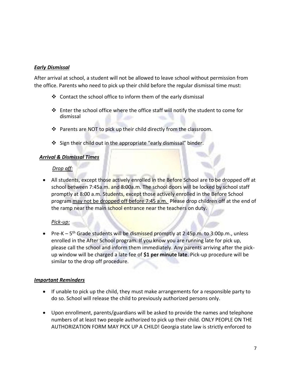#### *Early Dismissal*

After arrival at school, a student will not be allowed to leave school without permission from the office. Parents who need to pick up their child before the regular dismissal time must:

- ❖ Contact the school office to inform them of the early dismissal
- ❖ Enter the school office where the office staff will notify the student to come for dismissal
- ❖ Parents are NOT to pick up their child directly from the classroom.
- ❖ Sign their child out in the appropriate "early dismissal" binder.

#### *Arrival & Dismissal Times*

#### *Drop off:*

• All students, except those actively enrolled in the Before School are to be dropped off at school between 7:45a.m. and 8:00a.m. The school doors will be locked by school staff promptly at 8:00 a.m. Students, except those actively enrolled in the Before School program may not be dropped off before 7:45 a.m. Please drop children off at the end of the ramp near the main school entrance near the teachers on duty.

#### *Pick-up:*

• Pre-K – 5<sup>th</sup> Grade students will be dismissed promptly at 2:45p.m. to 3:00p.m., unless enrolled in the After School program. If you know you are running late for pick up, please call the school and inform them immediately. Any parents arriving after the pickup window will be charged a late fee of **\$1 per minute late**. Pick-up procedure will be similar to the drop off procedure.

#### *Important Reminders*

- If unable to pick up the child, they must make arrangements for a responsible party to do so. School will release the child to previously authorized persons only.
- Upon enrollment, parents/guardians will be asked to provide the names and telephone numbers of at least two people authorized to pick up their child. ONLY PEOPLE ON THE AUTHORIZATION FORM MAY PICK UP A CHILD! Georgia state law is strictly enforced to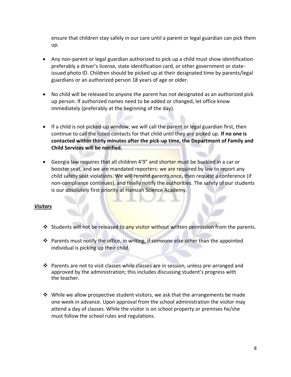ensure that children stay safely in our care until a parent or legal guardian can pick them up.

- Any non-parent or legal guardian authorized to pick up a child must show identificationpreferably a driver's license, state identification card, or other government or stateissued photo ID. Children should be picked up at their designated time by parents/legal guardians or an authorized person 18 years of age or older.
- No child will be released to anyone the parent has not designated as an authorized pick up person. If authorized names need to be added or changed, let office know immediately (preferably at the beginning of the day).
- If a child is not picked-up window, we will call the parent or legal guardian first, then continue to call the listed contacts for that child until they are picked up. **If no one is contacted within thirty minutes after the pick-up time, the Department of Family and Child Services will be notified.**
- Georgia law requires that all children 4'9" and shorter must be buckled in a car or booster seat, and we are mandated reporters: we are required by law to report any child safety seat violations. We will remind parents once, then request a conference (if non-compliance continues), and finally notify the authorities. The safety of our students is our absolutely first priority at Hamzah Science Academy.

#### *Visitors*

- ❖ Students will not be released to any visitor without written permission from the parents.
- ❖ Parents must notify the office, in writing, if someone else other than the appointed individual is picking up their child.
- ❖ Parents are not to visit classes while classes are in session, unless pre-arranged and approved by the administration; this includes discussing student's progress with the teacher.
- $\dots$  While we allow prospective student visitors, we ask that the arrangements be made one week in advance. Upon approval from the school administration the visitor may attend a day of classes. While the visitor is on school property or premises he/she must follow the school rules and regulations.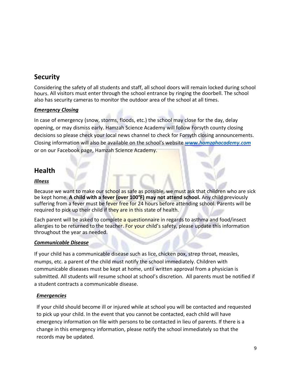# **Security**

Considering the safety of all students and staff, all school doors will remain locked during school hours. All visitors must enter through the school entrance by ringing the doorbell. The school also has security cameras to monitor the outdoor area of the school at all times.

#### *Emergency Closing*

In case of emergency (snow, storms, floods, etc.) the school may close for the day, delay opening, or may dismiss early. Hamzah Science Academy will follow Forsyth county closing decisions so please check your local news channel to check for Forsyth closing announcements. Closing information will also be available on the school's website *[www.hamzahacademy.com](http://www.hamzahacademy.com/)* or on our Facebook page, Hamzah Science Academy.

# **Health**

#### *Illness*

Because we want to make our school as safe as possible, we must ask that children who are sick be kept home. **A child with a fever (over 100°F) may not attend school.** Any child previously suffering from a fever must be fever free for 24 hours before attending school. Parents will be required to pick up their child if they are in this state of health.

Each parent will be asked to complete a questionnaire in regards to asthma and food/insect allergies to be returned to the teacher. For your child's safety, please update this information throughout the year as needed.

#### *Communicable Disease*

If your child has a communicable disease such as lice, chicken pox, strep throat, measles, mumps, etc. a parent of the child must notify the school immediately. Children with communicable diseases must be kept at home, until written approval from a physician is submitted. All students will resume school at school's discretion. All parents must be notified if a student contracts a communicable disease.

#### *Emergencies*

If your child should become ill or injured while at school you will be contacted and requested to pick up your child. In the event that you cannot be contacted, each child will have emergency information on file with persons to be contacted in lieu of parents. If there is a change in this emergency information, please notify the school immediately so that the records may be updated.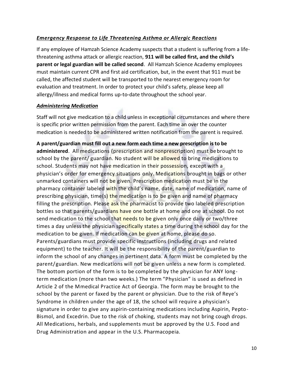#### *Emergency Response to Life Threatening Asthma or Allergic Reactions*

If any employee of Hamzah Science Academy suspects that a student is suffering from a lifethreatening asthma attack or allergic reaction, **911 will be called first, and the child's parent or legal guardian will be called second**. All Hamzah Science Academy employees must maintain current CPR and first aid certification, but, in the event that 911 must be called, the affected student will be transported to the nearest emergency room for evaluation and treatment. In order to protect your child's safety, please keep all allergy/illness and medical forms up-to-date throughout the school year.

#### *Administering Medication*

Staff will not give medication to a child unless in exceptional circumstances and where there is specific prior written permission from the parent. Each time an over the counter medication is needed to be administered written notification from the parent is required.

**A parent/guardian must fill out a new form each time a new prescription is to be administered**. All medications (prescription and nonprescription) must bebrought to school by the parent/ guardian. No student will be allowed to bring medications to school. Students may not have medication in their possession, except with a physician's order for emergency situations only. Medications brought in bags or other unmarked containers will not be given. Prescription medication must be in the pharmacy container labeled with the child's name, date, name of medication, name of prescribing physician, time(s) the medication is to be given and name of pharmacy filling the prescription. Please ask the pharmacist to provide two labeled prescription bottles so that parents/guardians have one bottle at home and one at school. Do not send medication to the school that needs to be given only once daily or two/three times a day unless the physician specifically states a time during the school day for the medication to be given. If medication can be given at home, please do so. Parents/guardians must provide specific instructions (including drugs and related equipment) to the teacher. It will be the responsibility of the parent/guardian to inform the school of any changes in pertinent data. A form must be completed by the parent/guardian. New medications will not be given unless a new form is completed. The bottom portion of the form is to be completed by the physician for ANY longterm medication (more than two weeks.) The term "Physician" is used as defined in Article 2 of the Mmedical Practice Act of Georgia. The form may be brought to the school by the parent or faxed by the parent or physician. Due to the risk of Reye's Syndrome in children under the age of 18, the school will require a physician's signature in order to give any aspirin-containing medications including Aspirin, Pepto-Bismol, and Excedrin. Due to the risk of choking, students may not bring cough drops. All Medications, herbals, and supplements must be approved by the U.S. Food and Drug Administration and appear in the U.S. Pharmacopeia.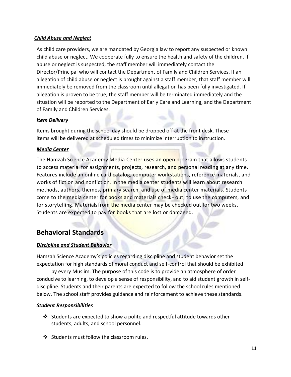#### *Child Abuse and Neglect*

As child care providers, we are mandated by Georgia law to report any suspected or known child abuse or neglect. We cooperate fully to ensure the health and safety of the children. If abuse or neglect is suspected, the staff member will immediately contact the Director/Principal who will contact the Department of Family and Children Services. If an allegation of child abuse or neglect is brought against a staff member, that staff member will immediately be removed from the classroom until allegation has been fully investigated. If allegation is proven to be true, the staff member will be terminated immediately and the situation will be reported to the Department of Early Care and Learning, and the Department of Family and Children Services.

#### *Item Delivery*

Items brought during the school day should be dropped off at the front desk. These items will be delivered at scheduled times to minimize interruption to instruction.

#### *Media Center*

The Hamzah Science Academy Media Center uses an open program that allows students to access material for assignments, projects, research, and personal reading at any time. Features include an online card catalog, computer workstations, reference materials, and works of fiction and nonfiction. In the media center students will learn about research methods, authors, themes, primary search, and use of media center materials. Students come to the media center for books and materials check- out, to use the computers, and for storytelling. Materialsfrom the media center may be checked out for two weeks. Students are expected to pay for books that are lost or damaged.

# **Behavioral Standards**

#### *Discipline and Student Behavior*

Hamzah Science Academy's policies regarding discipline and student behavior set the expectation for high standards of moral conduct and self-control that should be exhibited

by every Muslim. The purpose of this code is to provide an atmosphere of order conducive to learning, to develop a sense of responsibility, and to aid student growth in selfdiscipline. Students and their parents are expected to follow the school rules mentioned below. The school staff provides guidance and reinforcement to achieve these standards.

#### *Student Responsibilities*

- ❖ Students are expected to show a polite and respectful attitude towards other students, adults, and school personnel.
- ❖ Students must follow the classroom rules.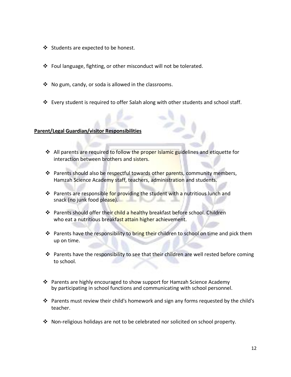- ❖ Students are expected to be honest.
- ❖ Foul language, fighting, or other misconduct will not be tolerated.
- ❖ No gum, candy, or soda is allowed in the classrooms.
- $\div$  Every student is required to offer Salah along with other students and school staff.

#### **Parent/Legal Guardian/visitor Responsibilities**

- ❖ All parents are required to follow the proper Islamic guidelines and etiquette for interaction between brothers and sisters.
- ❖ Parents should also be respectful towards other parents, community members, Hamzah Science Academy staff, teachers, administration and students.
- ❖ Parents are responsible for providing the student with a nutritious lunch and snack (no junk food please).
- ❖ Parents should offer their child a healthy breakfast before school. Children who eat a nutritious breakfast attain higher achievement.
- ❖ Parents have the responsibility to bring their children to school on time and pick them up on time.
- ❖ Parents have the responsibility to see that their children are well rested before coming to school.
- ❖ Parents are highly encouraged to show support for Hamzah Science Academy by participating in school functions and communicating with school personnel.
- ❖ Parents must review their child's homework and sign any forms requested by the child's teacher.
- ❖ Non-religious holidays are not to be celebrated nor solicited on school property.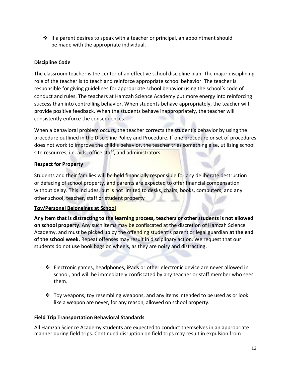❖ If a parent desires to speak with a teacher or principal, an appointment should be made with the appropriate individual.

#### **Discipline Code**

The classroom teacher is the center of an effective school discipline plan. The major disciplining role of the teacher is to teach and reinforce appropriate school behavior. The teacher is responsible for giving guidelines for appropriate school behavior using the school's code of conduct and rules. The teachers at Hamzah Science Academy put more energy into reinforcing success than into controlling behavior. When students behave appropriately, the teacher will provide positive feedback. When the students behave inappropriately, the teacher will consistently enforce the consequences.

When a behavioral problem occurs, the teacher corrects the student's behavior by using the procedure outlined in the Discipline Policy and Procedure. If one procedure or set of procedures does not work to improve the child's behavior, the teacher tries something else, utilizing school site resources, i.e. aids, office staff, and administrators.

#### **Respect for Property**

Students and their families will be held financially responsible for any deliberate destruction or defacing of school property, and parents are expected to offer financial compensation without delay. This includes, but is not limited to desks, chairs, books, computers, and any other school, teacher, staff or student property

#### **Toy/Personal Belongings at School**

**Any item that is distracting to the learning process, teachers or other students is not allowed on school property**. Any such items may be confiscated at the discretion of Hamzah Science Academy, and must be picked up by the offending student's parent or legal guardian **at the end of the school week.** Repeat offenses may result in disciplinary action. We request that our students do not use book bags on wheels, as they are noisy and distracting.

- ❖ Electronic games, headphones, iPads or other electronic device are never allowed in school, and will be immediately confiscated by any teacher or staff member who sees them.
- ❖ Toy weapons, toy resembling weapons, and any items intended to be used as or look like a weapon are never, for any reason, allowed on school property.

#### **Field Trip Transportation Behavioral Standards**

All Hamzah Science Academy students are expected to conduct themselves in an appropriate manner during field trips. Continued disruption on field trips may result in expulsion from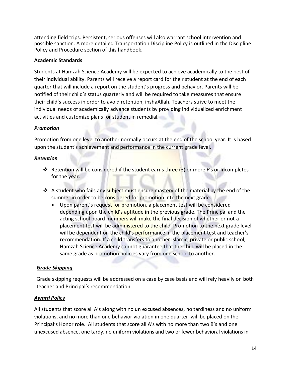attending field trips. Persistent, serious offenses will also warrant school intervention and possible sanction. A more detailed Transportation Discipline Policy is outlined in the Discipline Policy and Procedure section of this handbook.

#### **Academic Standards**

Students at Hamzah Science Academy will be expected to achieve academically to the best of their individual ability. Parents will receive a report card for their student at the end of each quarter that will include a report on the student's progress and behavior. Parents will be notified of their child's status quarterly and will be required to take measures that ensure their child's success in order to avoid retention, inshaAllah. Teachers strive to meet the individual needs of academically advance students by providing individualized enrichment activities and customize plans for student in remedial.

#### *Promotion*

Promotion from one level to another normally occurs at the end of the school year. It is based upon the student's achievement and performance in the current grade level.

#### *Retention*

- **❖** Retention will be considered if the student earns three (3) or more F's or Incompletes for the year.
- ❖ A student who fails any subject must ensure mastery of the material by the end of the summer in order to be considered for promotion into the next grade.
	- Upon parent's request for promotion, a placement test will be considered depending upon the child's aptitude in the previous grade. The Principal and the acting school board members will make the final decision of whether or not a placement test will be administered to the child. Promotion to the next grade level will be dependent on the child's performance in the placement test and teacher's recommendation. If a child transfers to another Islamic, private or public school, Hamzah Science Academy cannot guarantee that the child will be placed in the same grade as promotion policies vary from one school to another.

#### *Grade Skipping*

Grade skipping requests will be addressed on a case by case basis and will rely heavily on both teacher and Principal's recommendation.

#### *Award Policy*

All students that score all A's along with no un excused absences, no tardiness and no uniform violations, and no more than one behavior violation in one quarter will be placed on the Principal's Honor role. All students that score all A's with no more than two B's and one unexcused absence, one tardy, no uniform violations and two or fewer behavioral violations in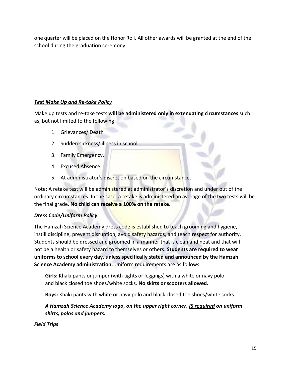one quarter will be placed on the Honor Roll. All other awards will be granted at the end of the school during the graduation ceremony.

### *Test Make Up and Re-take Policy*

Make up tests and re-take tests **will be administered only in extenuating circumstances** such as, but not limited to the following:

- 1. Grievances/ Death
- 2. Sudden sickness/ illness in school.
- 3. Family Emergency.
- 4. Excused Absence.
- 5. At administrator's discretion based on the circumstance.

Note: A retake test will be administered at administrator's discretion and under out of the ordinary circumstances. In the case, a retake is administered an average of the two tests will be the final grade. **No child can receive a 100% on the retake**.

#### *Dress Code/Uniform Policy*

The Hamzah Science Academy dress code is established to teach grooming and hygiene, instill discipline, prevent disruption, avoid safety hazards, and teach respect for authority. Students should be dressed and groomed in a manner that is clean and neat and that will not be a health or safety hazard to themselves or others. **Students are required to wear uniforms to school every day, unless specifically stated and announced by the Hamzah Science Academy administration.** Uniform requirements are as follows:

**Girls:** Khaki pants or jumper (with tights or leggings) with a white or navy polo and black closed toe shoes/white socks. **No skirts or scooters allowed.**

**Boys:** Khaki pants with white or navy polo and black closed toe shoes/white socks.

*A Hamzah Science Academy logo, on the upper right corner, IS required on uniform shirts, polos and jumpers.*

#### *Field Trips*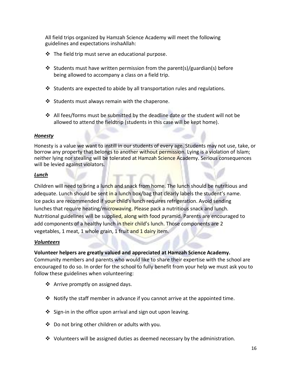All field trips organized by Hamzah Science Academy will meet the following guidelines and expectations inshaAllah:

- $\cdot$  The field trip must serve an educational purpose.
- ❖ Students must have written permission from the parent(s)/guardian(s) before being allowed to accompany a class on a field trip.
- $\dots$  Students are expected to abide by all transportation rules and regulations.
- ❖ Students must always remain with the chaperone.
- ❖ All fees/forms must be submitted by the deadline date or the student will not be allowed to attend the fieldtrip (students in this case will be kept home).

#### *Honesty*

Honesty is a value we want to instill in our students of every age. Students may not use, take, or borrow any property that belongs to another without permission. Lying is a violation of Islam; neither lying nor stealing will be tolerated at Hamzah Science Academy. Serious consequences will be levied against violators.

#### *Lunch*

Children will need to bring a lunch and snack from home. The lunch should be nutritious and adequate. Lunch should be sent in a lunch box/bag that clearly labels the student's name. Ice packs are recommended if your child's lunch requires refrigeration. Avoid sending lunches that require heating/microwaving. Please pack a nutritious snack and lunch. Nutritional guidelines will be supplied, along with food pyramid. Parents are encouraged to add components of a healthy lunch in their child's lunch. Those components are 2 vegetables, 1 meat, 1 whole grain, 1 fruit and 1 dairy item.

#### *Volunteers*

#### **Volunteer helpers are greatly valued and appreciated at Hamzah Science Academy.**

Community members and parents who would like to share their expertise with the school are encouraged to do so. In order for the school to fully benefit from your help we must ask you to follow these guidelines when volunteering:

- ❖ Arrive promptly on assigned days.
- ❖ Notify the staff member in advance if you cannot arrive at the appointed time.
- ❖ Sign-in in the office upon arrival and sign out upon leaving.
- ❖ Do not bring other children or adults with you.
- ❖ Volunteers will be assigned duties as deemed necessary by the administration.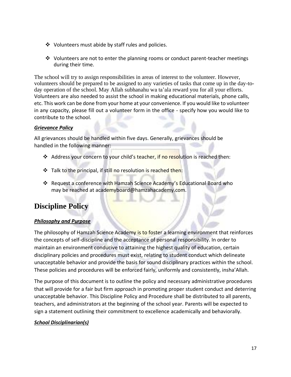- ❖ Volunteers must abide by staff rules and policies.
- $\dots$  Volunteers are not to enter the planning rooms or conduct parent-teacher meetings during their time.

The school will try to assign responsibilities in areas of interest to the volunteer. However, volunteers should be prepared to be assigned to any varieties of tasks that come up in the day-today operation of the school. May Allah subhanahu wa ta'ala reward you for all your efforts. Volunteers are also needed to assist the school in making educational materials, phone calls, etc. This work can be done from your home at your convenience. If you would like to volunteer in any capacity, please fill out a volunteer form in the office - specify how you would like to contribute to the school.

#### *Grievance Policy*

All grievances should be handled within five days. Generally, grievances should be handled in the following manner:

- ❖ Address your concern to your child's teacher, if no resolution is reached then:
- ❖ Talk to the principal, if still no resolution is reached then:
- ❖ Request a conference with Hamzah Science Academy's Educational Board who may be reached at academyboard@hamzahacademy.com.

# **Discipline Policy**

#### *Philosophy and Purpose*

The philosophy of Hamzah Science Academy is to foster a learning environment that reinforces the concepts of self-discipline and the acceptance of personal responsibility. In order to maintain an environment conducive to attaining the highest quality of education, certain disciplinary policies and procedures must exist, relating to student conduct which delineate unacceptable behavior and provide the basis for sound disciplinary practices within the school. These policies and procedures will be enforced fairly, uniformly and consistently, insha'Allah.

The purpose of this document is to outline the policy and necessary administrative procedures that will provide for a fair but firm approach in promoting proper student conduct and deterring unacceptable behavior. This Discipline Policy and Procedure shall be distributed to all parents, teachers, and administrators at the beginning of the school year. Parents will be expected to sign a statement outlining their commitment to excellence academically and behaviorally.

#### *School Disciplinarian(s)*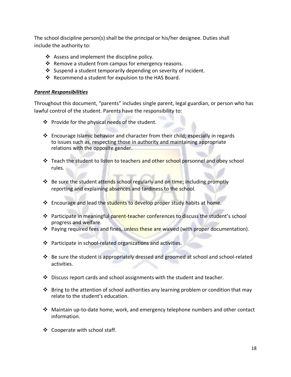The school discipline person(s) shall be the principal or his/her designee. Duties shall include the authority to:

- ❖ Assess and implement the discipline policy.
- ❖ Remove a student from campus for emergency reasons.
- ❖ Suspend a student temporarily depending on severity of incident.
- ❖ Recommend a student for expulsion to the HAS Board.

#### *Parent Responsibilities*

Throughout this document, "parents" includes single parent, legal guardian, or person who has lawful control of the student. Parents have the responsibility to:

- ❖ Provide for the physical needs of the student.
- ❖ Encourage Islamic behavior and character from their child; especially in regards to issues such as, respecting those in authority and maintaining appropriate relations with the opposite gender.
- ❖ Teach the student to listen to teachers and other school personnel and obey school rules.
- ❖ Be sure the student attends school regularly and on time; including promptly reporting and explaining absences and tardiness to the school.
- ❖ Encourage and lead the students to develop proper study habits at home.
- ❖ Participate in meaningful parent-teacher conferences to discuss the student's school progress and welfare.
- ❖ Paying required fees and fines, unless these are waived (with proper documentation).
- ❖ Participate in school-related organizations and activities.
- ❖ Be sure the student is appropriately dressed and groomed at school and school-related activities.
- ❖ Discuss report cards and school assignments with the student and teacher.
- $\dots$  Bring to the attention of school authorities any learning problem or condition that may relate to the student's education.
- ❖ Maintain up-to-date home, work, and emergency telephone numbers and other contact information.
- ❖ Cooperate with school staff.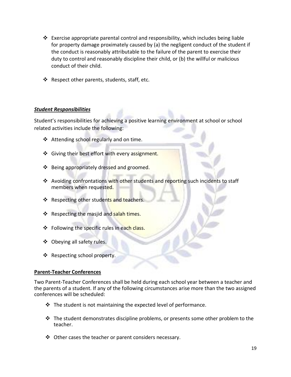- ❖ Exercise appropriate parental control and responsibility, which includes being liable for property damage proximately caused by (a) the negligent conduct of the student if the conduct is reasonably attributable to the failure of the parent to exercise their duty to control and reasonably discipline their child, or (b) the willful or malicious conduct of their child.
- ❖ Respect other parents, students, staff, etc.

#### *Student Responsibilities*

Student's responsibilities for achieving a positive learning environment at school or school related activities include the following:

- ❖ Attending school regularly and on time.
- ❖ Giving their best effort with every assignment.
- ❖ Being appropriately dressed and groomed.
- ❖ Avoiding confrontations with other students and reporting such incidents to staff members when requested.
- ❖ Respecting other students and teachers.
- ❖ Respecting the masjid and salah times.
- ❖ Following the specific rules in each class.
- ❖ Obeying all safety rules.
- ❖ Respecting school property.

#### **Parent-Teacher Conferences**

Two Parent-Teacher Conferences shall be held during each school year between a teacher and the parents of a student. If any of the following circumstances arise more than the two assigned conferences will be scheduled:

- $\cdot \cdot$  The student is not maintaining the expected level of performance.
- ❖ The student demonstrates discipline problems, or presents some other problem to the teacher.
- ❖ Other cases the teacher or parent considers necessary.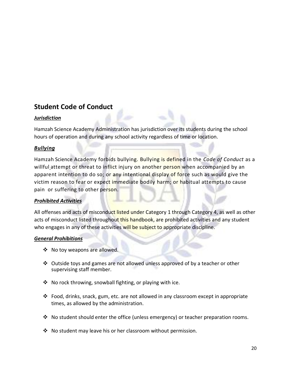# **Student Code of Conduct**

#### *Jurisdiction*

Hamzah Science Academy Administration has jurisdiction over its students during the school hours of operation and during any school activity regardless of time or location.

#### *Bullying*

Hamzah Science Academy forbids bullying. Bullying is defined in the *Code of Conduct* as a willful attempt or threat to inflict injury on another person when accompanied by an apparent intention to do so; or any intentional display of force such as would give the victim reason to fear or expect immediate bodily harm; or habitual attempts to cause pain or suffering to other person.

#### *Prohibited Activities*

All offenses and acts of misconduct listed under Category 1 through Category 4, as well as other acts of misconduct listed throughout this handbook, are prohibited activities and any student who engages in any of these activities will be subject to appropriate discipline.

#### *General Prohibitions*

- ❖ No toy weapons are allowed.
- ❖ Outside toys and games are not allowed unless approved of by a teacher or other supervising staff member.
- $\cdot \cdot$  No rock throwing, snowball fighting, or playing with ice.
- $\div$  Food, drinks, snack, gum, etc. are not allowed in any classroom except in appropriate times, as allowed by the administration.
- ❖ No student should enter the office (unless emergency) or teacher preparation rooms.
- ❖ No student may leave his or her classroom without permission.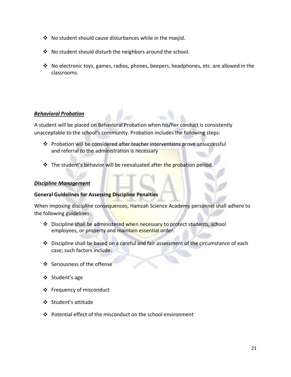- ❖ No student should cause disturbances while in the masjid.
- ❖ No student should disturb the neighbors around the school.
- ❖ No electronic toys, games, radios, phones, beepers, headphones, etc. are allowed in the classrooms.

#### *Behavioral Probation*

A student will be placed on Behavioral Probation when his/her conduct is consistently unacceptable to the school's community. Probation includes the following steps:

- ❖ Probation will be considered after teacher interventions prove unsuccessful and referral to the administration is necessary
- ❖ The student's behavior will be reevaluated after the probation period.

#### *Discipline Management*

#### **General Guidelines for Assessing Discipline Penalties**

When imposing discipline consequences, Hamzah Science Academy personnel shall adhere to the following guidelines:

- ❖ Discipline shall be administered when necessary to protect students, school employees, or property and maintain essential order.
- ❖ Discipline shall be based on a careful and fair assessment of the circumstance of each case; such factors include:
- ❖ Seriousness of the offense
- ❖ Student's age
- ❖ Frequency of misconduct
- ❖ Student's attitude
- ❖ Potential effect of the misconduct on the school environment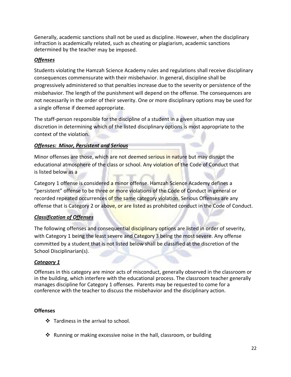Generally, academic sanctions shall not be used as discipline. However, when the disciplinary infraction is academically related, such as cheating or plagiarism, academic sanctions determined by the teacher may be imposed.

#### *Offenses*

Students violating the Hamzah Science Academy rules and regulations shall receive disciplinary consequences commensurate with their misbehavior. In general, discipline shall be progressively administered so that penalties increase due to the severity or persistence of the misbehavior. The length of the punishment will depend on the offense. The consequences are not necessarily in the order of their severity. One or more disciplinary options may be used for a single offense if deemed appropriate.

The staff-person responsible for the discipline of a student in a given situation may use discretion in determining which of the listed disciplinary options is most appropriate to the context of the violation.

#### *Offenses: Minor, Persistent and Serious*

Minor offenses are those, which are not deemed serious in nature but may disrupt the educational atmosphere of the class or school. Any violation of the Code of Conduct that is listed below as a

Category 1 offense is considered a minor offense. Hamzah Science Academy defines a "persistent" offense to be three or more violations of the Code of Conduct in general or recorded repeated occurrences of the same category violation. Serious Offenses are any offense that is Category 2 or above, or are listed as prohibited conduct in the Code of Conduct.

#### *Classification of Offenses*

The following offenses and consequential disciplinary options are listed in order of severity, with Category 1 being the least severe and Category 3 being the most severe. Any offense committed by a student that is not listed below shall be classified at the discretion of the School Disciplinarian(s).

#### *Category 1*

Offenses in this category are minor acts of misconduct, generally observed in the classroom or in the building, which interfere with the educational process. The classroom teacher generally manages discipline for Category 1 offenses. Parents may be requested to come for a conference with the teacher to discuss the misbehavior and the disciplinary action.

#### **Offenses**

- ❖ Tardiness in the arrival to school.
- ❖ Running or making excessive noise in the hall, classroom, or building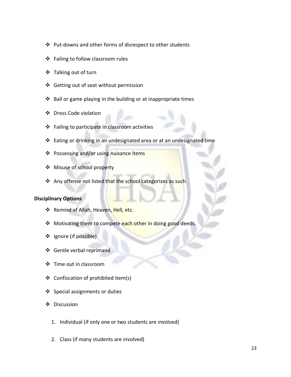- ❖ Put-downs and other forms of disrespect to other students
- ❖ Failing to follow classroom rules
- ❖ Talking out of turn
- ❖ Getting out of seat without permission
- ❖ Ball or game playing in the building or at inappropriate times
- ❖ Dress Code violation
- ❖ Failing to participate in classroom activities
- ❖ Eating or drinking in an undesignated area or at an undesignated time
- ❖ Possessing and/or using nuisance items
- ❖ Misuse of school property
- ❖ Any offense not listed that the school categorizes as such

#### **Disciplinary Options**

- ❖ Remind of Allah, Heaven, Hell, etc.
- ❖ Motivating them to compete each other in doing good deeds.
- ❖ Ignore (if possible)
- ❖ Gentle verbal reprimand
- ❖ Time out in classroom
- ❖ Confiscation of prohibited item(s)
- ❖ Special assignments or duties
- ❖ Discussion
	- 1. Individual (if only one or two students are involved)
	- 2. Class (if many students are involved)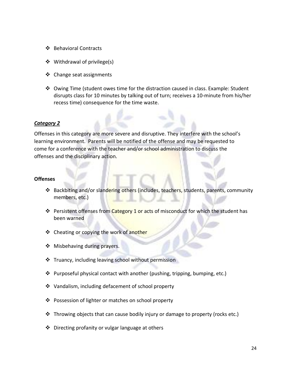- ❖ Behavioral Contracts
- ❖ Withdrawal of privilege(s)
- ❖ Change seat assignments
- ❖ Owing Time (student owes time for the distraction caused in class. Example: Student disrupts class for 10 minutes by talking out of turn; receives a 10-minute from his/her recess time) consequence for the time waste.

#### *Category 2*

Offenses in this category are more severe and disruptive. They interfere with the school's learning environment. Parents will be notified of the offense and may be requested to come for a conference with the teacher and/or school administration to discuss the offenses and the disciplinary action.

#### **Offenses**

- ❖ Backbiting and/or slandering others (includes, teachers, students, parents, community members, etc.)
- ❖ Persistent offenses from Category 1 or acts of misconduct for which the student has been warned
- ❖ Cheating or copying the work of another
- ❖ Misbehaving during prayers.
- ❖ Truancy, including leaving school without permission
- ❖ Purposeful physical contact with another (pushing, tripping, bumping, etc.)
- ❖ Vandalism, including defacement of school property
- ❖ Possession of lighter or matches on school property
- ❖ Throwing objects that can cause bodily injury or damage to property (rocks etc.)
- ❖ Directing profanity or vulgar language at others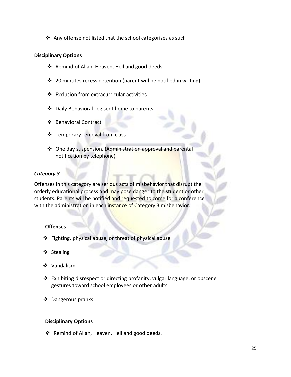❖ Any offense not listed that the school categorizes as such

#### **Disciplinary Options**

- ❖ Remind of Allah, Heaven, Hell and good deeds.
- ❖ 20 minutes recess detention (parent will be notified in writing)
- ❖ Exclusion from extracurricular activities
- ❖ Daily Behavioral Log sent home to parents
- ❖ Behavioral Contract
- ❖ Temporary removal from class
- ❖ One day suspension. (Administration approval and parental notification by telephone)

#### *Category 3*

Offenses in this category are serious acts of misbehavior that disrupt the orderly educational process and may pose danger to the student or other students. Parents will be notified and requested to come for a conference with the administration in each instance of Category 3 misbehavior.

#### **Offenses**

- ❖ Fighting, physical abuse, or threat of physical abuse
- ❖ Stealing
- ❖ Vandalism
- ❖ Exhibiting disrespect or directing profanity, vulgar language, or obscene gestures toward school employees or other adults.
- ❖ Dangerous pranks.

#### **Disciplinary Options**

❖ Remind of Allah, Heaven, Hell and good deeds.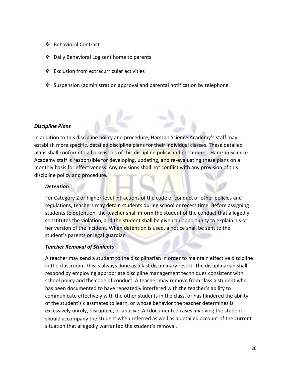- ❖ Behavioral Contract
- ❖ Daily Behavioral Log sent home to parents
- ❖ Exclusion from extracurricular activities
- ❖ Suspension (administration approval and parental notification by telephone

#### *Discipline Plans*

In addition to this discipline policy and procedure, Hamzah Science Academy's staff may establish more specific, detailed discipline plans for their individual classes. These detailed plans shall conform to all provisions of this discipline policy and procedures. Hamzah Science Academy staff is responsible for developing, updating, and re-evaluating these plans on a monthly basis for effectiveness. Any revisions shall not conflict with any provision of this discipline policy and procedure.

#### *Detention*

For Category 2 or higher-level infractions of the code of conduct or other policies and regulations, teachers may detain students during school or recess time. Before assigning students to detention, the teacher shall inform the student of the conduct that allegedly constitutes the violation, and the student shall be given an opportunity to explain his or her version of the incident. When detention is used, a notice shall be sent to the student's parents or legal guardian

#### *Teacher Removal of Students*

A teacher may send a student to the disciplinarian in order to maintain effective discipline in the classroom. This is always done as a last disciplinary resort. The disciplinarian shall respond by employing appropriate discipline management techniques consistent with school policy and the code of conduct. A teacher may remove from class a student who has been documented to have repeatedly interfered with the teacher's ability to communicate effectively with the other students in the class, or has hindered the ability of the student's classmates to learn, or whose behavior the teacher determines is excessively unruly, disruptive, or abusive. All documented cases involving the student should accompany the student when referred as well as a detailed account of the current situation that allegedly warranted the student's removal.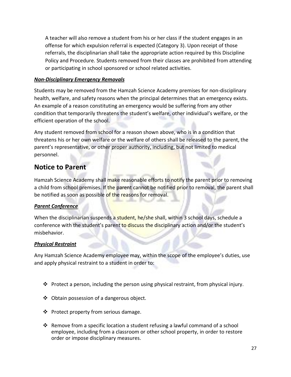A teacher will also remove a student from his or her class if the student engages in an offense for which expulsion referral is expected (Category 3). Upon receipt of those referrals, the disciplinarian shall take the appropriate action required by this Discipline Policy and Procedure. Students removed from their classes are prohibited from attending or participating in school sponsored or school related activities.

#### *Non-Disciplinary Emergency Removals*

Students may be removed from the Hamzah Science Academy premises for non-disciplinary health, welfare, and safety reasons when the principal determines that an emergency exists. An example of a reason constituting an emergency would be suffering from any other condition that temporarily threatens the student's welfare, other individual's welfare, or the efficient operation of the school.

Any student removed from school for a reason shown above, who is in a condition that threatens his or her own welfare or the welfare of others shall be released to the parent, the parent's representative, or other proper authority, including, but not limited to medical personnel.

# **Notice to Parent**

Hamzah Science Academy shall make reasonable efforts to notify the parent prior to removing a child from school premises. If the parent cannot be notified prior to removal, the parent shall be notified as soon as possible of the reasons for removal.

#### *Parent Conference*

When the disciplinarian suspends a student, he/she shall, within 3 school days, schedule a conference with the student's parent to discuss the disciplinary action and/or the student's misbehavior.

#### *Physical Restraint*

Any Hamzah Science Academy employee may, within the scope of the employee's duties, use and apply physical restraint to a student in order to:

- $\cdot \cdot$  Protect a person, including the person using physical restraint, from physical injury.
- ❖ Obtain possession of a dangerous object.
- ❖ Protect property from serious damage.
- ❖ Remove from a specific location a student refusing a lawful command of a school employee, including from a classroom or other school property, in order to restore order or impose disciplinary measures.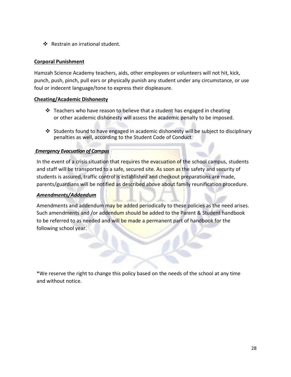❖ Restrain an irrational student.

#### **Corporal Punishment**

Hamzah Science Academy teachers, aids, other employees or volunteers will not hit, kick, punch, push, pinch, pull ears or physically punish any student under any circumstance, or use foul or indecent language/tone to express their displeasure.

#### **Cheating/Academic Dishonesty**

- ❖ Teachers who have reason to believe that a student has engaged in cheating or other academic dishonesty will assess the academic penalty to be imposed.
- ❖ Students found to have engaged in academic dishonesty will be subject to disciplinary penalties as well, according to the Student Code of Conduct.

#### *Emergency Evacuation of Campus*

In the event of a crisis situation that requires the evacuation of the school campus, students and staff will be transported to a safe, secured site. As soon as the safety and security of students is assured, traffic control is established and checkout preparations are made, parents/guardians will be notified as described above about family reunification procedure.

#### *Amendments/Addendum*

Amendments and addendum may be added periodically to these policies as the need arises. Such amendments and /or addendum should be added to the Parent & Student handbook to be referred to as needed and will be made a permanent part of handbook for the following school year.

\*We reserve the right to change this policy based on the needs of the school at any time and without notice.